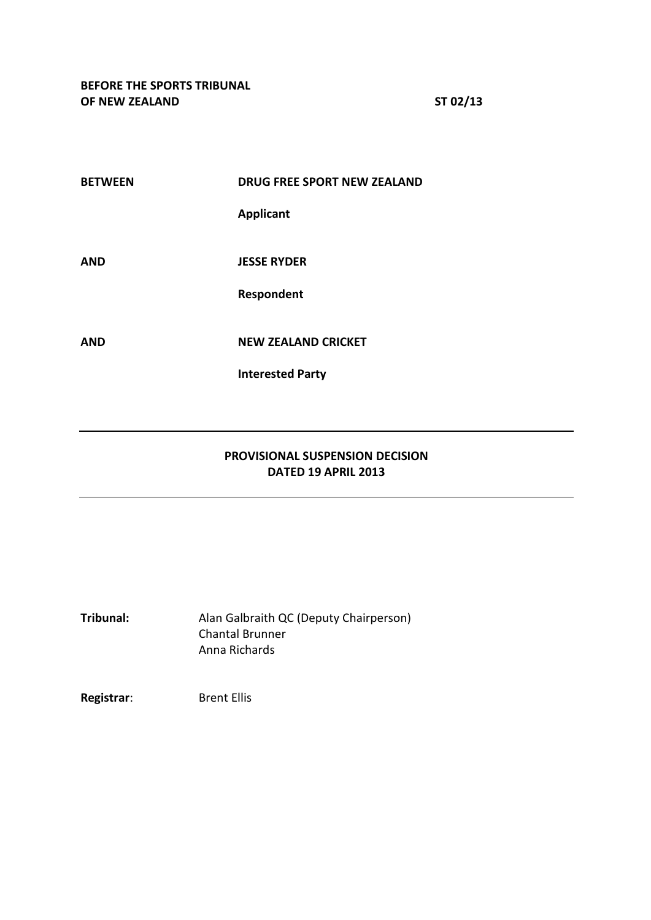| <b>BETWEEN</b> | <b>DRUG FREE SPORT NEW ZEALAND</b> |
|----------------|------------------------------------|
|                | <b>Applicant</b>                   |
|                |                                    |
| <b>AND</b>     | <b>JESSE RYDER</b>                 |
|                | Respondent                         |
|                |                                    |
| AND            | <b>NEW ZEALAND CRICKET</b>         |
|                | <b>Interested Party</b>            |
|                |                                    |
|                |                                    |

## **PROVISIONAL SUSPENSION DECISION DATED 19 APRIL 2013**

**Tribunal:** Alan Galbraith QC (Deputy Chairperson) Chantal Brunner Anna Richards

**Registrar:** Brent Ellis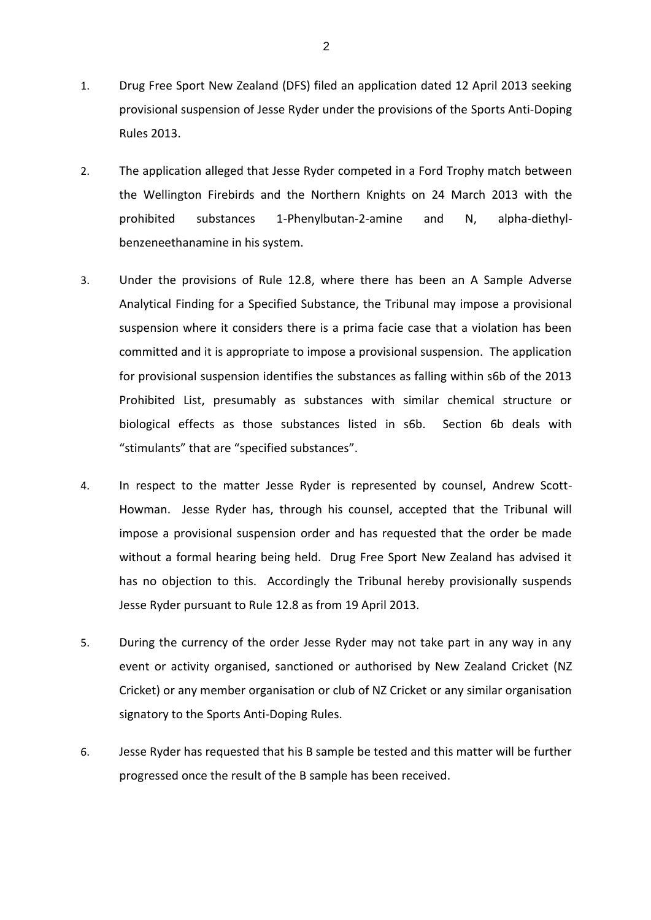- 1. Drug Free Sport New Zealand (DFS) filed an application dated 12 April 2013 seeking provisional suspension of Jesse Ryder under the provisions of the Sports Anti-Doping Rules 2013.
- 2. The application alleged that Jesse Ryder competed in a Ford Trophy match between the Wellington Firebirds and the Northern Knights on 24 March 2013 with the prohibited substances 1-Phenylbutan-2-amine and N, alpha-diethylbenzeneethanamine in his system.
- 3. Under the provisions of Rule 12.8, where there has been an A Sample Adverse Analytical Finding for a Specified Substance, the Tribunal may impose a provisional suspension where it considers there is a prima facie case that a violation has been committed and it is appropriate to impose a provisional suspension. The application for provisional suspension identifies the substances as falling within s6b of the 2013 Prohibited List, presumably as substances with similar chemical structure or biological effects as those substances listed in s6b. Section 6b deals with "stimulants" that are "specified substances".
- 4. In respect to the matter Jesse Ryder is represented by counsel, Andrew Scott-Howman. Jesse Ryder has, through his counsel, accepted that the Tribunal will impose a provisional suspension order and has requested that the order be made without a formal hearing being held. Drug Free Sport New Zealand has advised it has no objection to this. Accordingly the Tribunal hereby provisionally suspends Jesse Ryder pursuant to Rule 12.8 as from 19 April 2013.
- 5. During the currency of the order Jesse Ryder may not take part in any way in any event or activity organised, sanctioned or authorised by New Zealand Cricket (NZ Cricket) or any member organisation or club of NZ Cricket or any similar organisation signatory to the Sports Anti-Doping Rules.
- 6. Jesse Ryder has requested that his B sample be tested and this matter will be further progressed once the result of the B sample has been received.